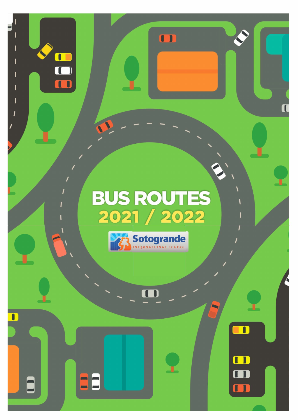# **BUS ROUTES<br>2021 / 2022**

m

T



m

88

Π

m

 $\blacksquare$ 

m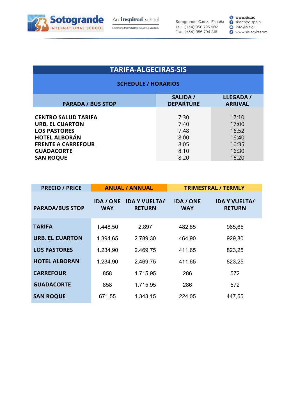

Embracing **Individuality**. Preparing Leaders.

Sotogrande, Cádiz. España Tel.: (+34) 956 795 902 Fax.: (+34) 956 794 816

**e www.sis.ac O** sisschoolspain O info@sis.gl O www.sis.ac/rss.xml

# **TARIFA-ALGECIRAS-SIS**

| <b>SALIDA /</b><br><b>DEPARTURE</b> | <b>LLEGADA /</b><br><b>ARRIVAL</b> |
|-------------------------------------|------------------------------------|
|                                     |                                    |
| 7:30                                | 17:10                              |
| 7:40                                | 17:00                              |
| 7:48                                | 16:52                              |
| 8:00                                | 16:40                              |
| 8:05                                | 16:35                              |
| 8:10                                | 16:30                              |
| 8:20                                | 16:20                              |
|                                     |                                    |

| <b>PRECIO / PRICE</b>  |                                | <b>ANUAL / ANNUAL</b>                 |                                | <b>TRIMESTRAL / TERMLY</b>            |
|------------------------|--------------------------------|---------------------------------------|--------------------------------|---------------------------------------|
| <b>PARADA/BUS STOP</b> | <b>IDA / ONE</b><br><b>WAY</b> | <b>IDA Y VUELTA/</b><br><b>RETURN</b> | <b>IDA / ONE</b><br><b>WAY</b> | <b>IDA Y VUELTA/</b><br><b>RETURN</b> |
| <b>TARIFA</b>          | 1.448,50                       | 2.897                                 | 482,85                         | 965,65                                |
| <b>URB. EL CUARTON</b> | 1.394,65                       | 2.789,30                              | 464,90                         | 929,80                                |
| <b>LOS PASTORES</b>    | 1.234,90                       | 2.469,75                              | 411,65                         | 823,25                                |
| <b>HOTEL ALBORAN</b>   | 1.234,90                       | 2.469,75                              | 411,65                         | 823,25                                |
| <b>CARREFOUR</b>       | 858                            | 1.715,95                              | 286                            | 572                                   |
| <b>GUADACORTE</b>      | 858                            | 1.715,95                              | 286                            | 572                                   |
| <b>SAN ROQUE</b>       | 671,55                         | 1.343,15                              | 224,05                         | 447,55                                |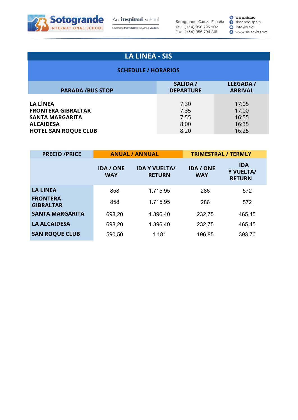

An inspired school Embracing **Individuality**. Preparing Leaders.

Sotogrande, Cádiz. España Tel.: (+34) 956 795 902 Fax.: (+34) 956 794 816

**e www.sis.ac O** sisschoolspain O info@sis.gl O www.sis.ac/rss.xml

# **LA LINEA - SIS**

| <b>PARADA /BUS STOP</b>     | <b>SALIDA /</b><br><b>DEPARTURE</b> | <b>LLEGADA /</b><br><b>ARRIVAL</b> |
|-----------------------------|-------------------------------------|------------------------------------|
| LA LÍNEA                    | 7:30                                | 17:05                              |
| <b>FRONTERA GIBRALTAR</b>   | 7:35                                | 17:00                              |
| <b>SANTA MARGARITA</b>      | 7:55                                | 16:55                              |
| <b>ALCAIDESA</b>            | 8:00                                | 16:35                              |
| <b>HOTEL SAN ROQUE CLUB</b> | 8:20                                | 16:25                              |

| <b>PRECIO /PRICE</b>                | <b>ANUAL / ANNUAL</b>          |                                       | <b>TRIMESTRAL / TERMLY</b>     |                                          |
|-------------------------------------|--------------------------------|---------------------------------------|--------------------------------|------------------------------------------|
|                                     | <b>IDA / ONE</b><br><b>WAY</b> | <b>IDA Y VUELTA/</b><br><b>RETURN</b> | <b>IDA / ONE</b><br><b>WAY</b> | <b>IDA</b><br>Y VUELTA/<br><b>RETURN</b> |
| <b>LA LINEA</b>                     | 858                            | 1.715,95                              | 286                            | 572                                      |
| <b>FRONTERA</b><br><b>GIBRALTAR</b> | 858                            | 1.715,95                              | 286                            | 572                                      |
| <b>SANTA MARGARITA</b>              | 698,20                         | 1.396,40                              | 232,75                         | 465,45                                   |
| <b>LA ALCAIDESA</b>                 | 698,20                         | 1.396,40                              | 232,75                         | 465,45                                   |
| <b>SAN ROQUE CLUB</b>               | 590,50                         | 1.181                                 | 196,85                         | 393,70                                   |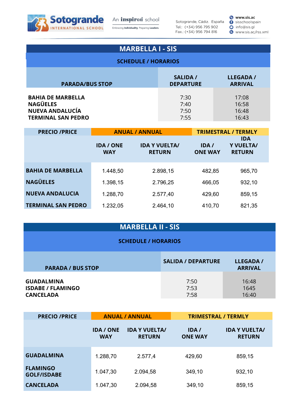

An *inspired* school Embracing **Individuality**. Preparing Leaders.

Sotogrande, Cádiz. España Tel.: (+34) 956 795 902 Fax.: (+34) 956 794 816

**e www.sis.ac O** sisschoolspain O info@sis.gl O www.sis.ac/rss.xml

| <b>MARBELLA I - SIS</b>                                                                             |                      |                         |  |  |  |
|-----------------------------------------------------------------------------------------------------|----------------------|-------------------------|--|--|--|
| <b>SCHEDULE / HORARIOS</b>                                                                          |                      |                         |  |  |  |
| <b>SALIDA /</b><br><b>LLEGADA /</b><br><b>PARADA/BUS STOP</b><br><b>DEPARTURE</b><br><b>ARRIVAL</b> |                      |                         |  |  |  |
| <b>BAHIA DE MARBELLA</b><br><b>NAGÜELES</b><br><b>NUEVA ANDALUCÍA</b>                               | 7:30<br>7:40<br>7:50 | 17:08<br>16:58<br>16:48 |  |  |  |

**TERMINAL SAN PEDRO** 7:55 16:43

| <b>PRECIO /PRICE</b>      | <b>IDA / ONE</b><br><b>WAY</b> | <b>ANUAL / ANNUAL</b><br><b>IDA Y VUELTA/</b><br><b>RETURN</b> | IDA/<br><b>ONE WAY</b> | <b>TRIMESTRAL / TERMLY</b><br><b>IDA</b><br>Y VUELTA/<br><b>RETURN</b> |
|---------------------------|--------------------------------|----------------------------------------------------------------|------------------------|------------------------------------------------------------------------|
| <b>BAHIA DE MARBELLA</b>  | 1.448,50                       | 2.898,15                                                       | 482,85                 | 965,70                                                                 |
| <b>NAGÜELES</b>           | 1.398,15                       | 2.796,25                                                       | 466,05                 | 932,10                                                                 |
| <b>NUEVA ANDALUCIA</b>    | 1.288,70                       | 2.577,40                                                       | 429,60                 | 859,15                                                                 |
| <b>TERMINAL SAN PEDRO</b> | 1.232,05                       | 2.464,10                                                       | 410,70                 | 821,35                                                                 |

## **MARBELLA II - SIS**

| <b>PARADA / BUS STOP</b> | <b>SALIDA / DEPARTURE</b> | LLEGADA /<br><b>ARRIVAL</b> |
|--------------------------|---------------------------|-----------------------------|
| <b>GUADALMINA</b>        | 7:50                      | 16:48                       |
| <b>ISDABE / FLAMINGO</b> | 7:53                      | 1645                        |
| <b>CANCELADA</b>         | 7:58                      | 16:40                       |

| <b>PRECIO /PRICE</b>                  | <b>ANUAL / ANNUAL</b>          |                                       |                        | <b>TRIMESTRAL / TERMLY</b>            |
|---------------------------------------|--------------------------------|---------------------------------------|------------------------|---------------------------------------|
|                                       | <b>IDA / ONE</b><br><b>WAY</b> | <b>IDA Y VUELTA/</b><br><b>RETURN</b> | IDA/<br><b>ONE WAY</b> | <b>IDA Y VUELTA/</b><br><b>RETURN</b> |
| <b>GUADALMINA</b>                     | 1.288,70                       | 2.577,4                               | 429,60                 | 859,15                                |
| <b>FLAMINGO</b><br><b>GOLF/ISDABE</b> | 1.047,30                       | 2.094,58                              | 349,10                 | 932,10                                |
| <b>CANCELADA</b>                      | 1.047,30                       | 2.094,58                              | 349,10                 | 859,15                                |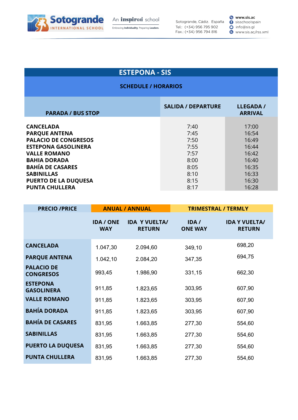

Embracing **Individuality**. Preparing Leaders.

Sotogrande, Cádiz. España Tel.: (+34) 956 795 902 Fax.: (+34) 956 794 816

**e www.sis.ac O** sisschoolspain O info@sis.gl O www.sis.ac/rss.xml

## **ESTEPONA - SIS**

| <b>PARADA / BUS STOP</b>    | <b>SALIDA / DEPARTURE</b> | LLEGADA /<br><b>ARRIVAL</b> |
|-----------------------------|---------------------------|-----------------------------|
| <b>CANCELADA</b>            | 7:40                      | 17:00                       |
| <b>PARQUE ANTENA</b>        | 7:45                      | 16:54                       |
| <b>PALACIO DE CONGRESOS</b> | 7:50                      | 16:49                       |
| <b>ESTEPONA GASOLINERA</b>  | 7:55                      | 16:44                       |
| <b>VALLE ROMANO</b>         | 7:57                      | 16:42                       |
| <b>BAHIA DORADA</b>         | 8:00                      | 16:40                       |
| <b>BAHÍA DE CASARES</b>     | 8:05                      | 16:35                       |
| <b>SABINILLAS</b>           | 8:10                      | 16:33                       |
| <b>PUERTO DE LA DUQUESA</b> | 8:15                      | 16:30                       |
| <b>PUNTA CHULLERA</b>       | 8:17                      | 16:28                       |

| <b>PRECIO /PRICE</b>                  |                                | <b>ANUAL / ANNUAL</b>                 | <b>TRIMESTRAL / TERMLY</b> |                                       |
|---------------------------------------|--------------------------------|---------------------------------------|----------------------------|---------------------------------------|
|                                       | <b>IDA / ONE</b><br><b>WAY</b> | <b>IDA Y VUELTA/</b><br><b>RETURN</b> | IDA/<br><b>ONE WAY</b>     | <b>IDA Y VUELTA/</b><br><b>RETURN</b> |
| <b>CANCELADA</b>                      | 1.047,30                       | 2.094,60                              | 349,10                     | 698,20                                |
| <b>PARQUE ANTENA</b>                  | 1.042,10                       | 2.084,20                              | 347,35                     | 694,75                                |
| <b>PALACIO DE</b><br><b>CONGRESOS</b> | 993,45                         | 1.986,90                              | 331,15                     | 662,30                                |
| <b>ESTEPONA</b><br><b>GASOLINERA</b>  | 911,85                         | 1.823,65                              | 303,95                     | 607,90                                |
| <b>VALLE ROMANO</b>                   | 911,85                         | 1.823,65                              | 303,95                     | 607,90                                |
| <b>BAHÍA DORADA</b>                   | 911,85                         | 1.823,65                              | 303,95                     | 607,90                                |
| <b>BAHÍA DE CASARES</b>               | 831,95                         | 1.663,85                              | 277,30                     | 554,60                                |
| <b>SABINILLAS</b>                     | 831,95                         | 1.663,85                              | 277,30                     | 554,60                                |
| <b>PUERTO LA DUQUESA</b>              | 831,95                         | 1.663,85                              | 277,30                     | 554,60                                |
| <b>PUNTA CHULLERA</b>                 | 831,95                         | 1.663,85                              | 277,30                     | 554,60                                |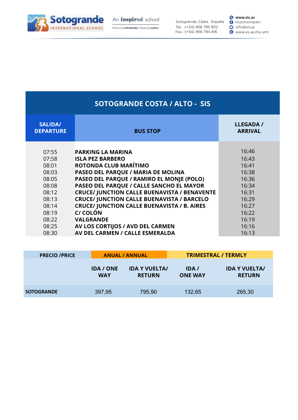

Embracing **Individuality**. Preparing Leaders.

Sotogrande, Cádiz. España Tel.: (+34) 956 795 902 Fax.: (+34) 956 794 816

#### **v www.sis.ac**<br> **()** sisschoolspain O info@sis.gl O www.sis.ac/rss.xml

| <b>SOTOGRANDE COSTA / ALTO - SIS</b>                                                                              |                                                                                                                                                                                                                                                                                                                                                                                                                                                                                      |                                                                                                                   |  |  |  |
|-------------------------------------------------------------------------------------------------------------------|--------------------------------------------------------------------------------------------------------------------------------------------------------------------------------------------------------------------------------------------------------------------------------------------------------------------------------------------------------------------------------------------------------------------------------------------------------------------------------------|-------------------------------------------------------------------------------------------------------------------|--|--|--|
| <b>SALIDA/</b><br><b>DEPARTURE</b>                                                                                | <b>BUS STOP</b>                                                                                                                                                                                                                                                                                                                                                                                                                                                                      | <b>LLEGADA /</b><br><b>ARRIVAL</b>                                                                                |  |  |  |
| 07:55<br>07:58<br>08:01<br>08:03<br>08:05<br>08:08<br>08:12<br>08:13<br>08:14<br>08:19<br>08:22<br>08:25<br>08:30 | <b>PARKING LA MARINA</b><br><b>ISLA PEZ BARBERO</b><br>ROTONDA CLUB MARÍTIMO<br>PASEO DEL PARQUE / MARIA DE MOLINA<br>PASEO DEL PARQUE / RAMIRO EL MONJE (POLO)<br>PASEO DEL PARQUE / CALLE SANCHO EL MAYOR<br><b>CRUCE/ JUNCTION CALLE BUENAVISTA / BENAVENTE</b><br><b>CRUCE/ JUNCTION CALLE BUENAVISTA / BARCELO</b><br><b>CRUCE/ JUNCTION CALLE BUENAVISTA / B. AIRES</b><br>C/ COLÓN<br><b>VALGRANDE</b><br>AV LOS CORTIJOS / AVD DEL CARMEN<br>AV DEL CARMEN / CALLE ESMERALDA | 16:46<br>16:43<br>16:41<br>16:38<br>16:36<br>16:34<br>16:31<br>16:29<br>16:27<br>16:22<br>16:19<br>16:16<br>16:13 |  |  |  |

| <b>PRECIO / PRICE</b> |                                | <b>ANUAL / ANNUAL</b>                 |                         | <b>TRIMESTRAL / TERMLY</b>            |
|-----------------------|--------------------------------|---------------------------------------|-------------------------|---------------------------------------|
|                       | <b>IDA / ONE</b><br><b>WAY</b> | <b>IDA Y VUELTA/</b><br><b>RETURN</b> | IDA /<br><b>ONE WAY</b> | <b>IDA Y VUELTA/</b><br><b>RETURN</b> |
| <b>SOTOGRANDE</b>     | 397,95                         | 795,90                                | 132,65                  | 265,30                                |